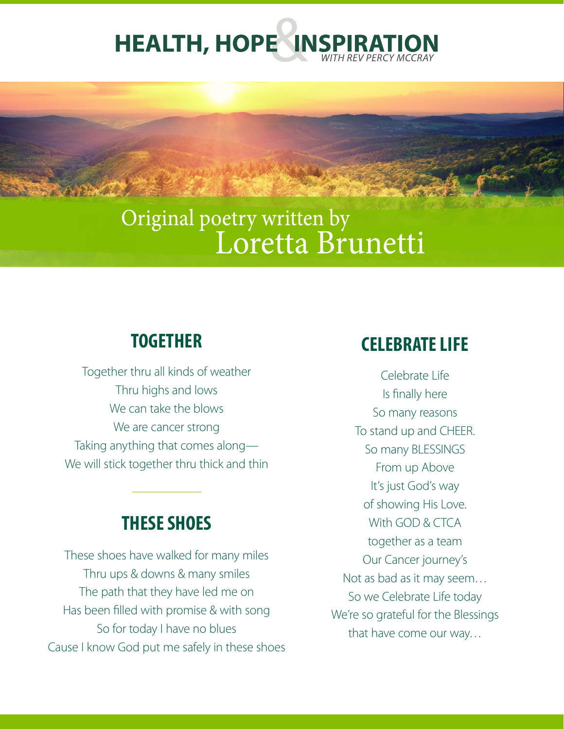

# Original poetry written by Loretta Brunetti

# **TOGETHER**

Together thru all kinds of weather Thru highs and lows We can take the blows We are cancer strong Taking anything that comes along— We will stick together thru thick and thin

# **THESE SHOES**

These shoes have walked for many miles Thru ups & downs & many smiles The path that they have led me on Has been filled with promise & with song So for today I have no blues Cause I know God put me safely in these shoes

### **CELEBRATE LIFE**

Celebrate Life Is finally here So many reasons To stand up and CHEER. So many BLESSINGS From up Above It's just God's way of showing His Love. With GOD & CTCA together as a team Our Cancer journey's Not as bad as it may seem… So we Celebrate Life today We're so grateful for the Blessings that have come our way…